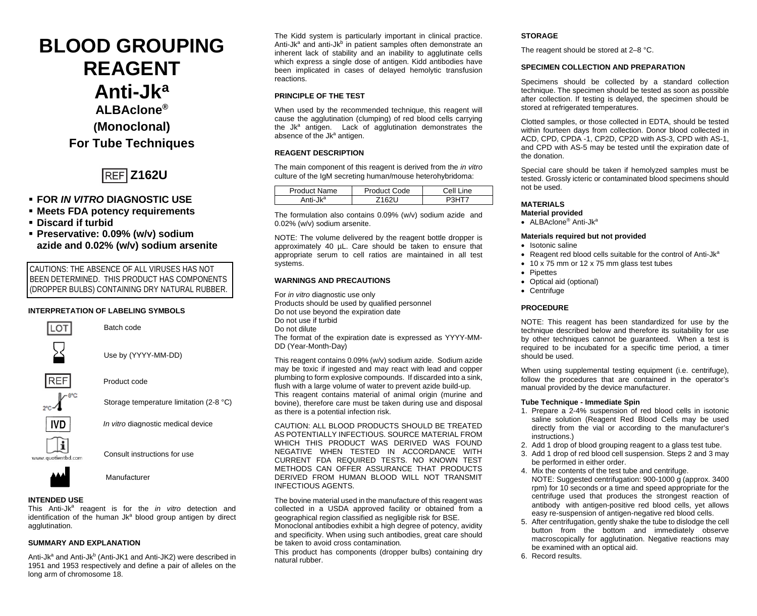# **BLOOD GROUPING REAGENT Anti-Jka ALBAclone® (Monoclonal) For Tube Techniques**



- **FOR** *IN VITRO* **DIAGNOSTIC USE**
- **Meets FDA potency requirements**
- **Discard if turbid**
- **Preservative: 0.09% (w/v) sodium azide and 0.02% (w/v) sodium arsenite**

CAUTIONS: THE ABSENCE OF ALL VIRUSES HAS NOT BEEN DETERMINED. THIS PRODUCT HAS COMPONENTS (DROPPER BULBS) CONTAINING DRY NATURAL RUBBER.

# **INTERPRETATION OF LABELING SYMBOLS**



Storage temperature limitation (2-8 °C)

*In vitro* diagnostic medical device



Consult instructions for use



Manufacturer

## **INTENDED USE**

This Anti-Jk<sup>a</sup> reagent is for the *in vitro* detection and identification of the human  $Jk<sup>a</sup>$  blood group antigen by direct agglutination.

## **SUMMARY AND EXPLANATION**

Anti-Jk<sup>a</sup> and Anti-Jk<sup>b</sup> (Anti-JK1 and Anti-JK2) were described in 1951 and 1953 respectively and define a pair of alleles on the long arm of chromosome 18.

The Kidd system is particularly important in clinical practice. Anti-Jk<sup>a</sup> and anti-Jk<sup>b</sup> in patient samples often demonstrate an inherent lack of stability and an inability to agglutinate cells which express a single dose of antigen. Kidd antibodies have been implicated in cases of delayed hemolytic transfusion reactions.

## **PRINCIPLE OF THE TEST**

When used by the recommended technique, this reagent will cause the agglutination (clumping) of red blood cells carrying the Jk<sup>a</sup> antigen. Lack of agglutination demonstrates the absence of the Jk<sup>a</sup> antigen.

## **REAGENT DESCRIPTION**

The main component of this reagent is derived from the *in vitro* culture of the IgM secreting human/mouse heterohybridoma:

| <b>Product Name</b>  | Product Code | Cell I<br>ine |
|----------------------|--------------|---------------|
| Anti-Jk <sup>a</sup> | 6211         |               |

The formulation also contains 0.09% (w/v) sodium azide and 0.02% (w/v) sodium arsenite.

NOTE: The volume delivered by the reagent bottle dropper is approximately 40 µL. Care should be taken to ensure that appropriate serum to cell ratios are maintained in all test systems.

## **WARNINGS AND PRECAUTIONS**

For *in vitro* diagnostic use only Products should be used by qualified personnel Do not use beyond the expiration date Do not use if turbid Do not dilute The format of the expiration date is expressed as YYYY-MM-DD (Year-Month-Day)

This reagent contains 0.09% (w/v) sodium azide. Sodium azide may be toxic if ingested and may react with lead and copper plumbing to form explosive compounds. If discarded into a sink, flush with a large volume of water to prevent azide build-up. This reagent contains material of animal origin (murine and bovine), therefore care must be taken during use and disposal as there is a potential infection risk.

CAUTION: ALL BLOOD PRODUCTS SHOULD BE TREATED AS POTENTIALLY INFECTIOUS. SOURCE MATERIAL FROM WHICH THIS PRODUCT WAS DERIVED WAS FOUND NEGATIVE WHEN TESTED IN ACCORDANCE WITH CURRENT FDA REQUIRED TESTS. NO KNOWN TEST METHODS CAN OFFER ASSURANCE THAT PRODUCTS DERIVED FROM HUMAN BLOOD WILL NOT TRANSMIT INFECTIOUS AGENTS.

The bovine material used in the manufacture of this reagent was collected in a USDA approved facility or obtained from a geographical region classified as negligible risk for BSE.

Monoclonal antibodies exhibit a high degree of potency, avidity and specificity. When using such antibodies, great care should be taken to avoid cross contamination*.*

This product has components (dropper bulbs) containing dry natural rubber.

## **STORAGE**

The reagent should be stored at 2–8 °C.

## **SPECIMEN COLLECTION AND PREPARATION**

Specimens should be collected by a standard collection technique. The specimen should be tested as soon as possible after collection. If testing is delayed, the specimen should be stored at refrigerated temperatures.

Clotted samples, or those collected in EDTA, should be tested within fourteen days from collection. Donor blood collected in ACD, CPD, CPDA -1, CP2D, CP2D with AS-3, CPD with AS-1, and CPD with AS-5 may be tested until the expiration date of the donation.

Special care should be taken if hemolyzed samples must be tested. Grossly icteric or contaminated blood specimens should not be used.

# **MATERIALS**

- **Material provided**
- ALBAclone® Anti-Jka

## **Materials required but not provided**

- Isotonic saline
- Reagent red blood cells suitable for the control of Anti-Jk<sup>a</sup>
- 10 x 75 mm or 12 x 75 mm glass test tubes
- **Pipettes**
- Optical aid (optional)
- Centrifuge

## **PROCEDURE**

NOTE: This reagent has been standardized for use by the technique described below and therefore its suitability for use by other techniques cannot be quaranteed. When a test is required to be incubated for a specific time period, a timer should be used.

When using supplemental testing equipment (i.e. centrifuge), follow the procedures that are contained in the operator's manual provided by the device manufacturer.

#### **Tube Technique - Immediate Spin**

- 1. Prepare a 2-4% suspension of red blood cells in isotonic saline solution (Reagent Red Blood Cells may be used directly from the vial or according to the manufacturer's instructions.)
- 2. Add 1 drop of blood grouping reagent to a glass test tube.
- 3. Add 1 drop of red blood cell suspension. Steps 2 and 3 may be performed in either order.
- 4. Mix the contents of the test tube and centrifuge. NOTE: Suggested centrifugation: 900-1000 g (approx. 3400 rpm) for 10 seconds or a time and speed appropriate for the centrifuge used that produces the strongest reaction of antibody with antigen-positive red blood cells, yet allows easy re-suspension of antigen-negative red blood cells.
- 5. After centrifugation, gently shake the tube to dislodge the cell button from the bottom and immediately observe macroscopically for agglutination. Negative reactions may be examined with an optical aid.

6. Record results.